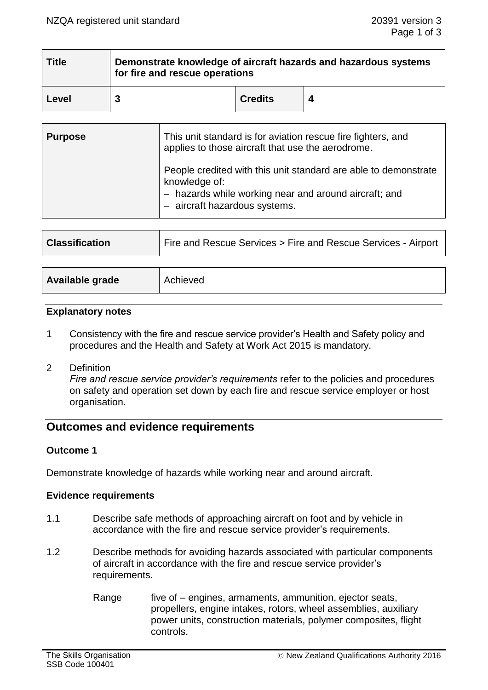| <b>Title</b> | Demonstrate knowledge of aircraft hazards and hazardous systems<br>for fire and rescue operations |                |  |
|--------------|---------------------------------------------------------------------------------------------------|----------------|--|
| Level        |                                                                                                   | <b>Credits</b> |  |

| <b>Purpose</b> | This unit standard is for aviation rescue fire fighters, and<br>applies to those aircraft that use the aerodrome.                                                          |
|----------------|----------------------------------------------------------------------------------------------------------------------------------------------------------------------------|
|                | People credited with this unit standard are able to demonstrate<br>knowledge of:<br>- hazards while working near and around aircraft; and<br>- aircraft hazardous systems. |

| <b>Classification</b> | Fire and Rescue Services > Fire and Rescue Services - Airport |
|-----------------------|---------------------------------------------------------------|
|                       |                                                               |

| Available grade | Achieved |
|-----------------|----------|
|                 |          |

### **Explanatory notes**

- 1 Consistency with the fire and rescue service provider's Health and Safety policy and procedures and the Health and Safety at Work Act 2015 is mandatory.
- 2 Definition

*Fire and rescue service provider's requirements* refer to the policies and procedures on safety and operation set down by each fire and rescue service employer or host organisation.

# **Outcomes and evidence requirements**

### **Outcome 1**

Demonstrate knowledge of hazards while working near and around aircraft.

#### **Evidence requirements**

- 1.1 Describe safe methods of approaching aircraft on foot and by vehicle in accordance with the fire and rescue service provider's requirements.
- 1.2 Describe methods for avoiding hazards associated with particular components of aircraft in accordance with the fire and rescue service provider's requirements.
	- Range five of engines, armaments, ammunition, ejector seats, propellers, engine intakes, rotors, wheel assemblies, auxiliary power units, construction materials, polymer composites, flight controls.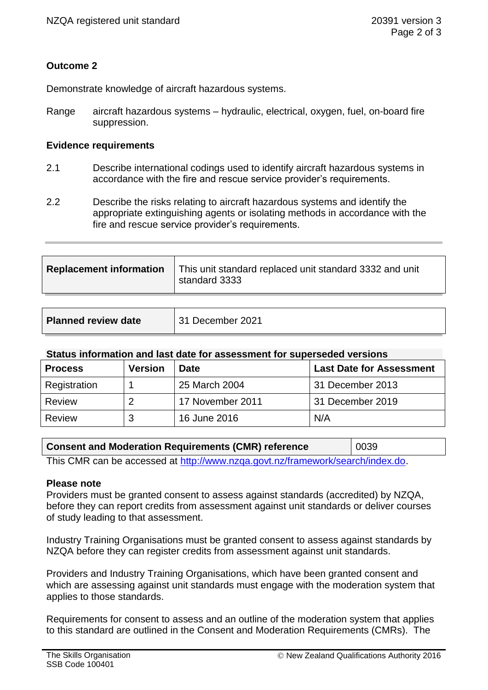## **Outcome 2**

Demonstrate knowledge of aircraft hazardous systems.

Range aircraft hazardous systems – hydraulic, electrical, oxygen, fuel, on-board fire suppression.

### **Evidence requirements**

- 2.1 Describe international codings used to identify aircraft hazardous systems in accordance with the fire and rescue service provider's requirements.
- 2.2 Describe the risks relating to aircraft hazardous systems and identify the appropriate extinguishing agents or isolating methods in accordance with the fire and rescue service provider's requirements.

| <b>Replacement information</b> | This unit standard replaced unit standard 3332 and unit<br>standard 3333 |
|--------------------------------|--------------------------------------------------------------------------|
|                                |                                                                          |

| <b>Planned review date</b> | 31 December 2021 |
|----------------------------|------------------|
|----------------------------|------------------|

### **Status information and last date for assessment for superseded versions**

| <b>Process</b> | <b>Version</b> | <b>Date</b>      | <b>Last Date for Assessment</b> |
|----------------|----------------|------------------|---------------------------------|
| Registration   |                | 25 March 2004    | 31 December 2013                |
| Review         |                | 17 November 2011 | 31 December 2019                |
| <b>Review</b>  | ว              | 16 June 2016     | N/A                             |

| <b>Consent and Moderation Requirements (CMR) reference</b>                     | 0039 |  |
|--------------------------------------------------------------------------------|------|--|
| This CMR can be accessed at http://www.nzqa.govt.nz/framework/search/index.do. |      |  |

#### **Please note**

Providers must be granted consent to assess against standards (accredited) by NZQA, before they can report credits from assessment against unit standards or deliver courses of study leading to that assessment.

Industry Training Organisations must be granted consent to assess against standards by NZQA before they can register credits from assessment against unit standards.

Providers and Industry Training Organisations, which have been granted consent and which are assessing against unit standards must engage with the moderation system that applies to those standards.

Requirements for consent to assess and an outline of the moderation system that applies to this standard are outlined in the Consent and Moderation Requirements (CMRs). The